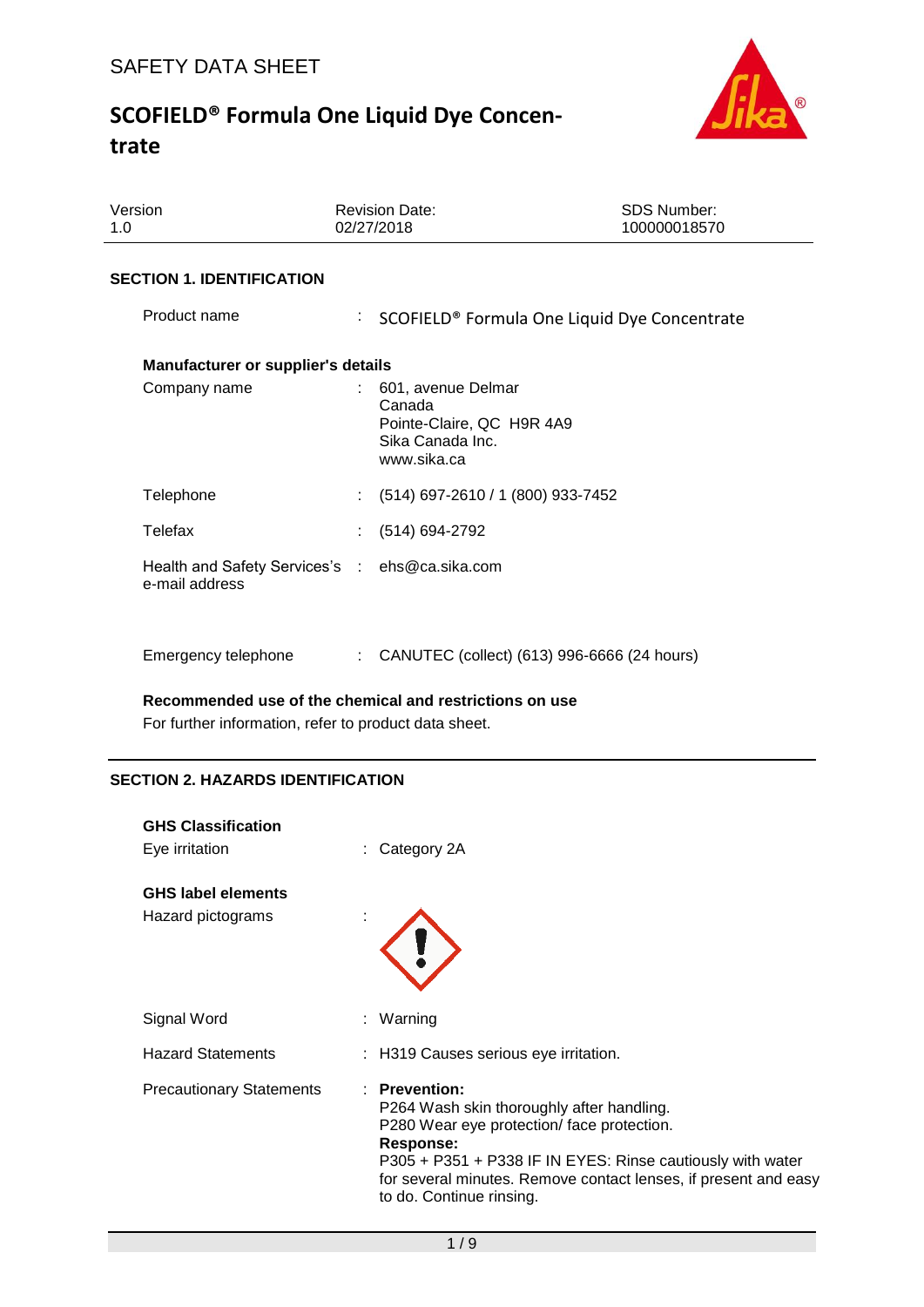

| Version<br>1.0                                                   |  | <b>Revision Date:</b><br>02/27/2018                                                          | <b>SDS Number:</b><br>100000018570 |  |
|------------------------------------------------------------------|--|----------------------------------------------------------------------------------------------|------------------------------------|--|
| <b>SECTION 1. IDENTIFICATION</b>                                 |  |                                                                                              |                                    |  |
| Product name                                                     |  | : SCOFIELD® Formula One Liquid Dye Concentrate                                               |                                    |  |
| <b>Manufacturer or supplier's details</b>                        |  |                                                                                              |                                    |  |
| Company name                                                     |  | 601, avenue Delmar<br>Canada<br>Pointe-Claire, QC H9R 4A9<br>Sika Canada Inc.<br>www.sika.ca |                                    |  |
| Telephone                                                        |  | $(514)$ 697-2610 / 1 (800) 933-7452                                                          |                                    |  |
| Telefax                                                          |  | $(514) 694-2792$                                                                             |                                    |  |
| Health and Safety Services's : ehs@ca.sika.com<br>e-mail address |  |                                                                                              |                                    |  |
| Emergency telephone                                              |  | CANUTEC (collect) (613) 996-6666 (24 hours)                                                  |                                    |  |

**Recommended use of the chemical and restrictions on use**

For further information, refer to product data sheet.

## **SECTION 2. HAZARDS IDENTIFICATION**

| <b>GHS Classification</b><br>Eye irritation    | : Category 2A                                                                                                                                                                                                                                                                       |
|------------------------------------------------|-------------------------------------------------------------------------------------------------------------------------------------------------------------------------------------------------------------------------------------------------------------------------------------|
| <b>GHS label elements</b><br>Hazard pictograms |                                                                                                                                                                                                                                                                                     |
| Signal Word                                    | : Warning                                                                                                                                                                                                                                                                           |
| <b>Hazard Statements</b>                       | : H319 Causes serious eye irritation.                                                                                                                                                                                                                                               |
| <b>Precautionary Statements</b>                | $:$ Prevention:<br>P264 Wash skin thoroughly after handling.<br>P280 Wear eye protection/face protection.<br>Response:<br>P305 + P351 + P338 IF IN EYES: Rinse cautiously with water<br>for several minutes. Remove contact lenses, if present and easy<br>to do. Continue rinsing. |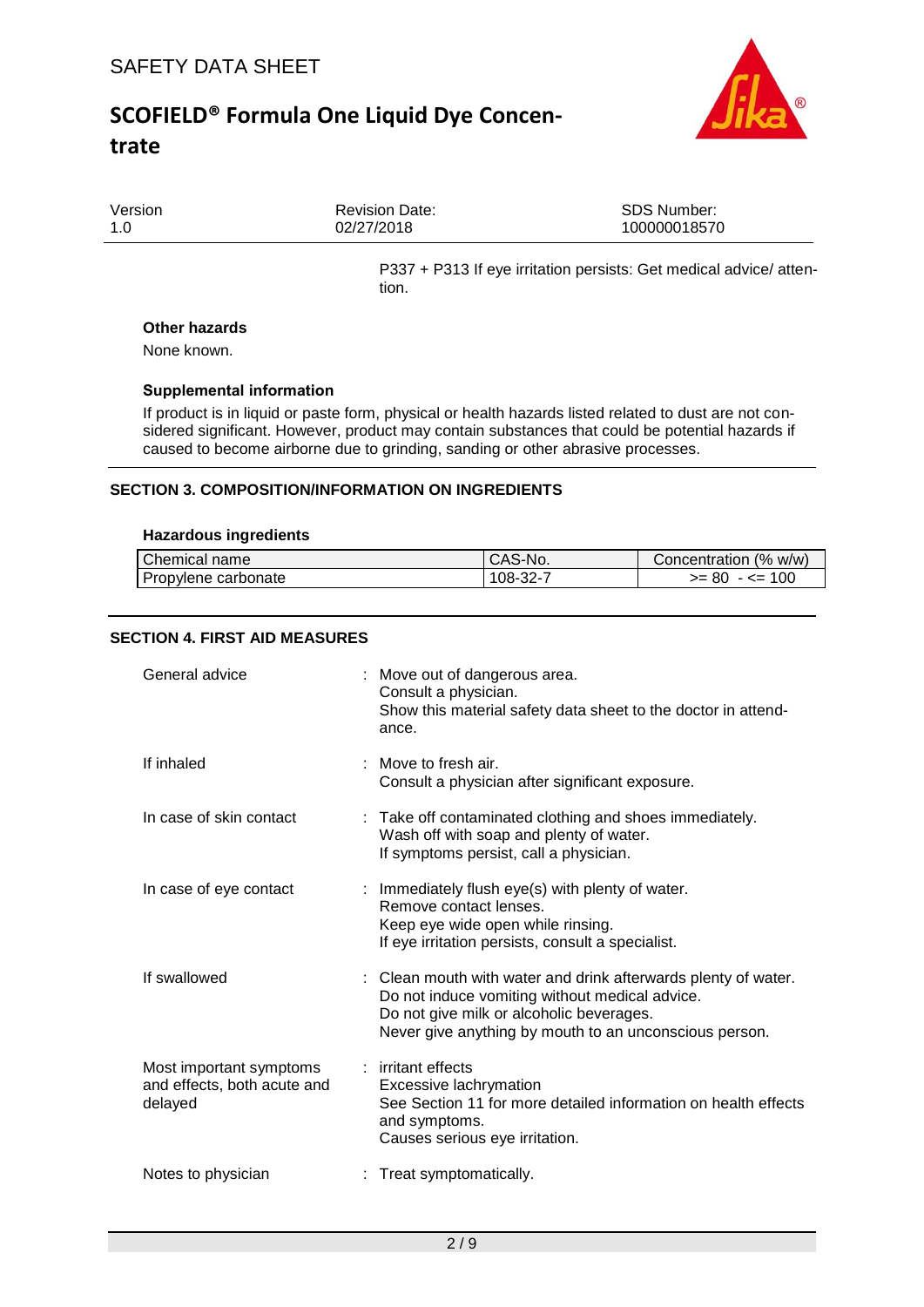

| Version | <b>Revision Date:</b> | <b>SDS Number:</b> |
|---------|-----------------------|--------------------|
| 1.0     | 02/27/2018            | 100000018570       |
|         |                       |                    |

P337 + P313 If eye irritation persists: Get medical advice/ attention.

#### **Other hazards**

None known.

### **Supplemental information**

If product is in liquid or paste form, physical or health hazards listed related to dust are not considered significant. However, product may contain substances that could be potential hazards if caused to become airborne due to grinding, sanding or other abrasive processes.

## **SECTION 3. COMPOSITION/INFORMATION ON INGREDIENTS**

#### **Hazardous ingredients**

| Chemical name       | <sup>1</sup> CAS-No. | Concentration (% w/w) |
|---------------------|----------------------|-----------------------|
| Propylene carbonate | $108 - 32 - 7$       | - <= 100<br>$>= 80$   |

### **SECTION 4. FIRST AID MEASURES**

| General advice                                                    | : Move out of dangerous area.<br>Consult a physician.<br>Show this material safety data sheet to the doctor in attend-<br>ance.                                                                                        |
|-------------------------------------------------------------------|------------------------------------------------------------------------------------------------------------------------------------------------------------------------------------------------------------------------|
| If inhaled                                                        | Move to fresh air.<br>Consult a physician after significant exposure.                                                                                                                                                  |
| In case of skin contact                                           | : Take off contaminated clothing and shoes immediately.<br>Wash off with soap and plenty of water.<br>If symptoms persist, call a physician.                                                                           |
| In case of eye contact                                            | : Immediately flush eye(s) with plenty of water.<br>Remove contact lenses.<br>Keep eye wide open while rinsing.<br>If eye irritation persists, consult a specialist.                                                   |
| If swallowed                                                      | : Clean mouth with water and drink afterwards plenty of water.<br>Do not induce vomiting without medical advice.<br>Do not give milk or alcoholic beverages.<br>Never give anything by mouth to an unconscious person. |
| Most important symptoms<br>and effects, both acute and<br>delayed | : irritant effects<br>Excessive lachrymation<br>See Section 11 for more detailed information on health effects<br>and symptoms.<br>Causes serious eye irritation.                                                      |
| Notes to physician                                                | : Treat symptomatically.                                                                                                                                                                                               |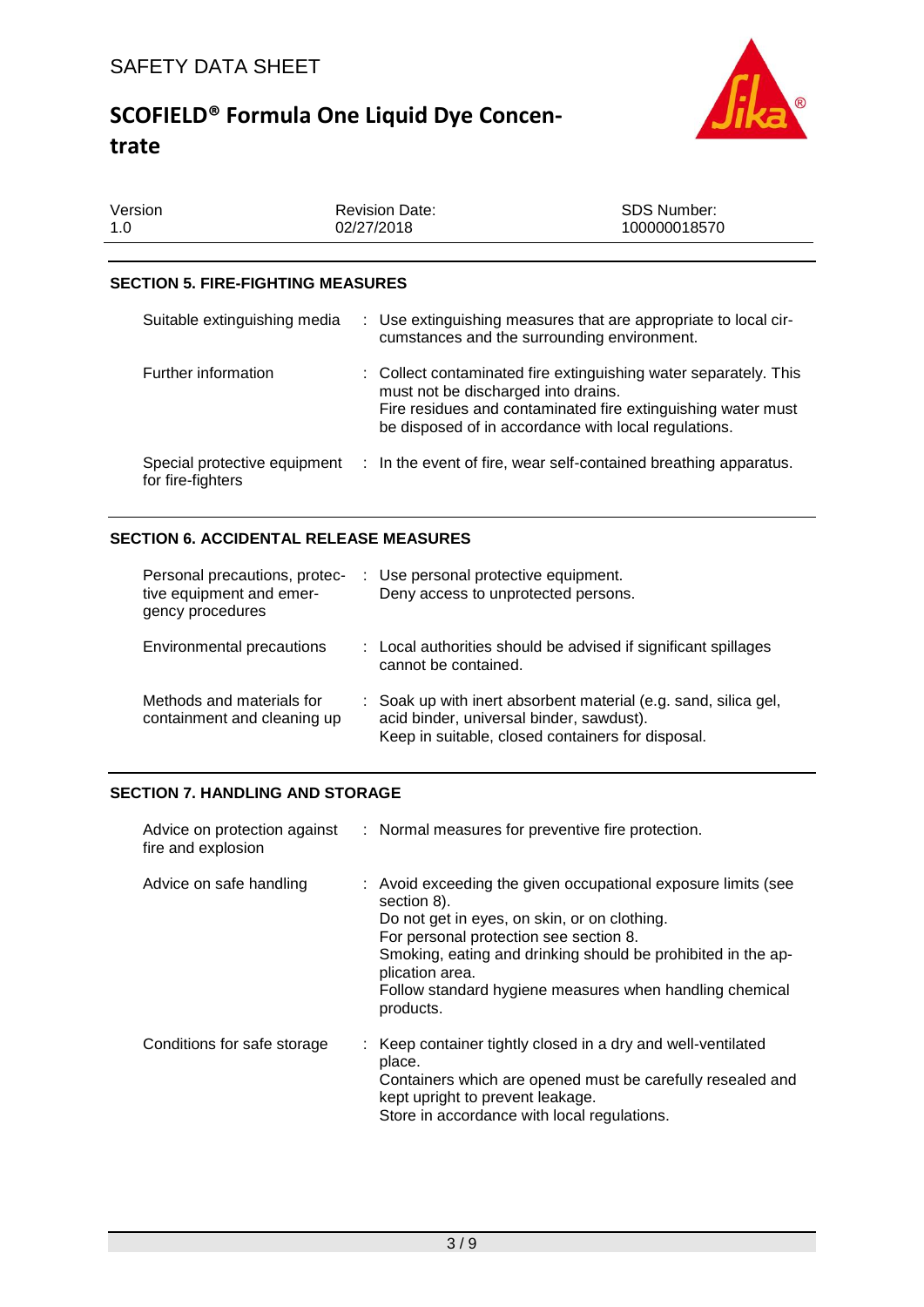

| Version | <b>Revision Date:</b> | SDS Number:  |
|---------|-----------------------|--------------|
| 1.0     | 02/27/2018            | 100000018570 |
|         |                       |              |

## **SECTION 5. FIRE-FIGHTING MEASURES**

| Suitable extinguishing media                      | : Use extinguishing measures that are appropriate to local cir-<br>cumstances and the surrounding environment.                                                                                                                  |
|---------------------------------------------------|---------------------------------------------------------------------------------------------------------------------------------------------------------------------------------------------------------------------------------|
| Further information                               | : Collect contaminated fire extinguishing water separately. This<br>must not be discharged into drains.<br>Fire residues and contaminated fire extinguishing water must<br>be disposed of in accordance with local regulations. |
| Special protective equipment<br>for fire-fighters | : In the event of fire, wear self-contained breathing apparatus.                                                                                                                                                                |

## **SECTION 6. ACCIDENTAL RELEASE MEASURES**

| Personal precautions, protec-<br>tive equipment and emer-<br>gency procedures | : Use personal protective equipment.<br>Deny access to unprotected persons.                                                                                      |
|-------------------------------------------------------------------------------|------------------------------------------------------------------------------------------------------------------------------------------------------------------|
| Environmental precautions                                                     | : Local authorities should be advised if significant spillages<br>cannot be contained.                                                                           |
| Methods and materials for<br>containment and cleaning up                      | : Soak up with inert absorbent material (e.g. sand, silica gel,<br>acid binder, universal binder, sawdust).<br>Keep in suitable, closed containers for disposal. |

# **SECTION 7. HANDLING AND STORAGE**

| fire and explosion          | Advice on protection against : Normal measures for preventive fire protection.                                                                                                                                                                                                                                                    |
|-----------------------------|-----------------------------------------------------------------------------------------------------------------------------------------------------------------------------------------------------------------------------------------------------------------------------------------------------------------------------------|
| Advice on safe handling     | : Avoid exceeding the given occupational exposure limits (see<br>section 8).<br>Do not get in eyes, on skin, or on clothing.<br>For personal protection see section 8.<br>Smoking, eating and drinking should be prohibited in the ap-<br>plication area.<br>Follow standard hygiene measures when handling chemical<br>products. |
| Conditions for safe storage | : Keep container tightly closed in a dry and well-ventilated<br>place.<br>Containers which are opened must be carefully resealed and<br>kept upright to prevent leakage.<br>Store in accordance with local regulations.                                                                                                           |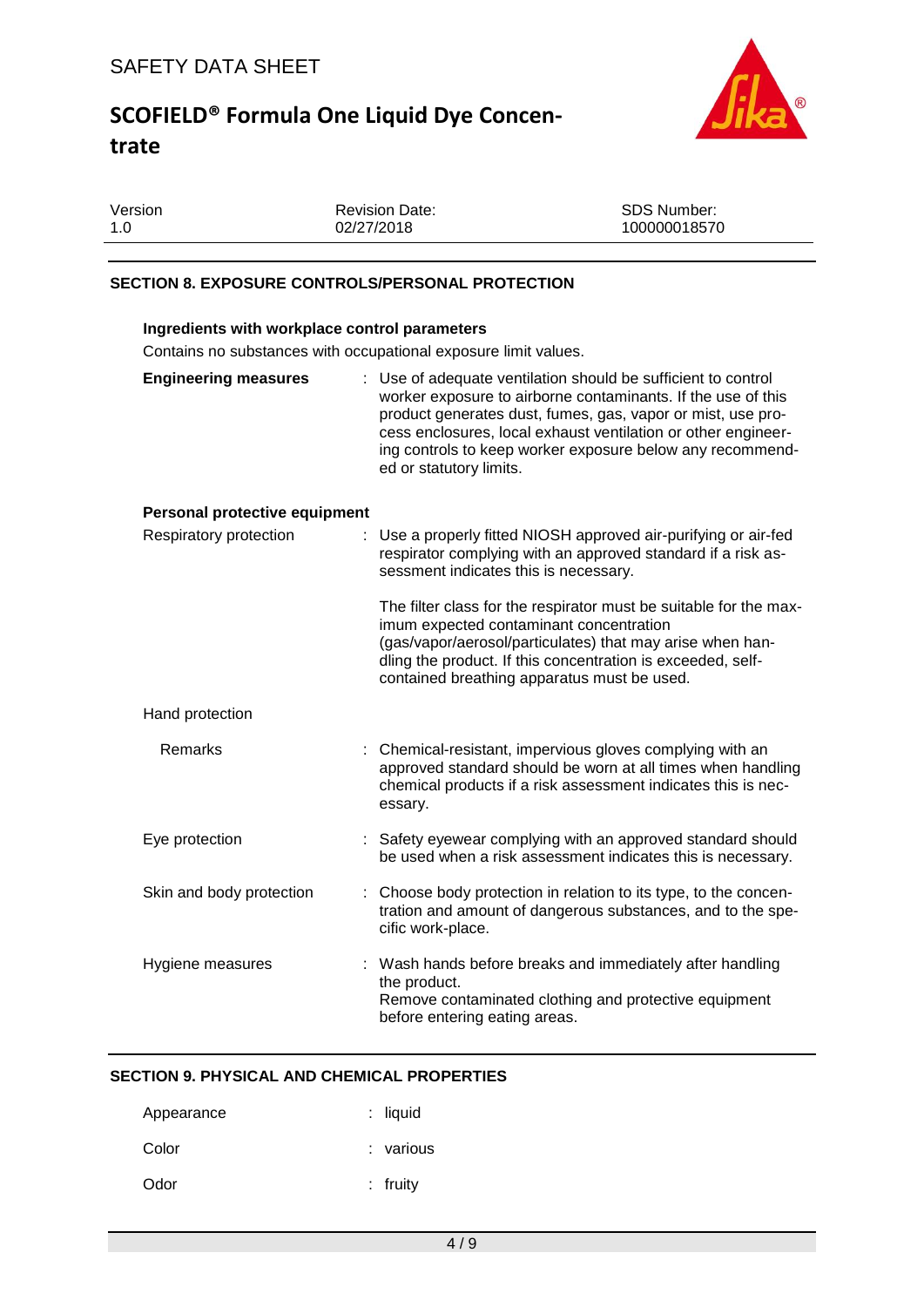

| Version | <b>Revision Date:</b> | SDS Number:  |
|---------|-----------------------|--------------|
| 1.0     | 02/27/2018            | 100000018570 |
|         |                       |              |

## **SECTION 8. EXPOSURE CONTROLS/PERSONAL PROTECTION**

| Ingredients with workplace control parameters<br>Contains no substances with occupational exposure limit values. |                                                                                                                                                                                                                                                                                                                                                       |  |  |
|------------------------------------------------------------------------------------------------------------------|-------------------------------------------------------------------------------------------------------------------------------------------------------------------------------------------------------------------------------------------------------------------------------------------------------------------------------------------------------|--|--|
| <b>Engineering measures</b>                                                                                      | : Use of adequate ventilation should be sufficient to control<br>worker exposure to airborne contaminants. If the use of this<br>product generates dust, fumes, gas, vapor or mist, use pro-<br>cess enclosures, local exhaust ventilation or other engineer-<br>ing controls to keep worker exposure below any recommend-<br>ed or statutory limits. |  |  |
| Personal protective equipment                                                                                    |                                                                                                                                                                                                                                                                                                                                                       |  |  |
| Respiratory protection                                                                                           | Use a properly fitted NIOSH approved air-purifying or air-fed<br>respirator complying with an approved standard if a risk as-<br>sessment indicates this is necessary.                                                                                                                                                                                |  |  |
|                                                                                                                  | The filter class for the respirator must be suitable for the max-<br>imum expected contaminant concentration<br>(gas/vapor/aerosol/particulates) that may arise when han-<br>dling the product. If this concentration is exceeded, self-<br>contained breathing apparatus must be used.                                                               |  |  |
| Hand protection                                                                                                  |                                                                                                                                                                                                                                                                                                                                                       |  |  |
| <b>Remarks</b>                                                                                                   | : Chemical-resistant, impervious gloves complying with an<br>approved standard should be worn at all times when handling<br>chemical products if a risk assessment indicates this is nec-<br>essary.                                                                                                                                                  |  |  |
| Eye protection                                                                                                   | : Safety eyewear complying with an approved standard should<br>be used when a risk assessment indicates this is necessary.                                                                                                                                                                                                                            |  |  |
| Skin and body protection                                                                                         | : Choose body protection in relation to its type, to the concen-<br>tration and amount of dangerous substances, and to the spe-<br>cific work-place.                                                                                                                                                                                                  |  |  |
| Hygiene measures                                                                                                 | : Wash hands before breaks and immediately after handling<br>the product.<br>Remove contaminated clothing and protective equipment<br>before entering eating areas.                                                                                                                                                                                   |  |  |

### **SECTION 9. PHYSICAL AND CHEMICAL PROPERTIES**

| Appearance | : liquid   |
|------------|------------|
| Color      | : various  |
| Odor       | $:$ fruity |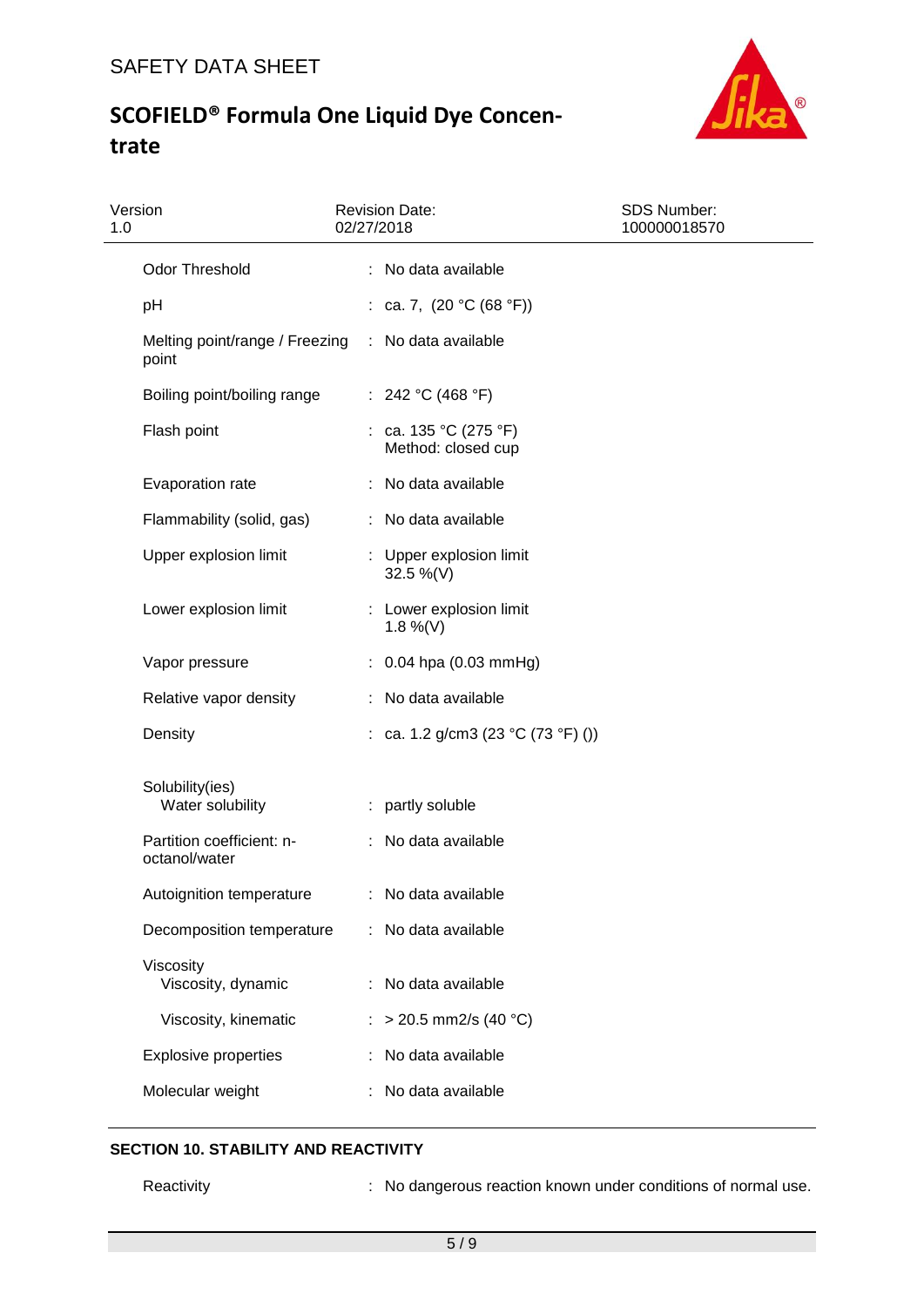

| Version<br>1.0                             | <b>Revision Date:</b><br>02/27/2018         | <b>SDS Number:</b><br>100000018570 |
|--------------------------------------------|---------------------------------------------|------------------------------------|
| <b>Odor Threshold</b>                      | : No data available                         |                                    |
| pH                                         | : ca. 7, $(20 °C (68 °F))$                  |                                    |
| Melting point/range / Freezing<br>point    | : No data available                         |                                    |
| Boiling point/boiling range                | : 242 °C (468 °F)                           |                                    |
| Flash point                                | : ca. 135 °C (275 °F)<br>Method: closed cup |                                    |
| Evaporation rate                           | No data available                           |                                    |
| Flammability (solid, gas)                  | : No data available                         |                                    |
| Upper explosion limit                      | : Upper explosion limit<br>32.5 %(V)        |                                    |
| Lower explosion limit                      | : Lower explosion limit<br>$1.8\%$ (V)      |                                    |
| Vapor pressure                             | $: 0.04$ hpa (0.03 mmHg)                    |                                    |
| Relative vapor density                     | : No data available                         |                                    |
| Density                                    | : ca. 1.2 g/cm3 (23 °C (73 °F) ())          |                                    |
| Solubility(ies)<br>Water solubility        | : partly soluble                            |                                    |
| Partition coefficient: n-<br>octanol/water | : No data available                         |                                    |
| Autoignition temperature                   | No data available                           |                                    |
| Decomposition temperature                  | No data available                           |                                    |
| Viscosity<br>Viscosity, dynamic            | No data available                           |                                    |
| Viscosity, kinematic                       | $>$ 20.5 mm2/s (40 °C)                      |                                    |
| <b>Explosive properties</b>                | No data available                           |                                    |
| Molecular weight                           | No data available                           |                                    |

# **SECTION 10. STABILITY AND REACTIVITY**

Reactivity **Reactivity** : No dangerous reaction known under conditions of normal use.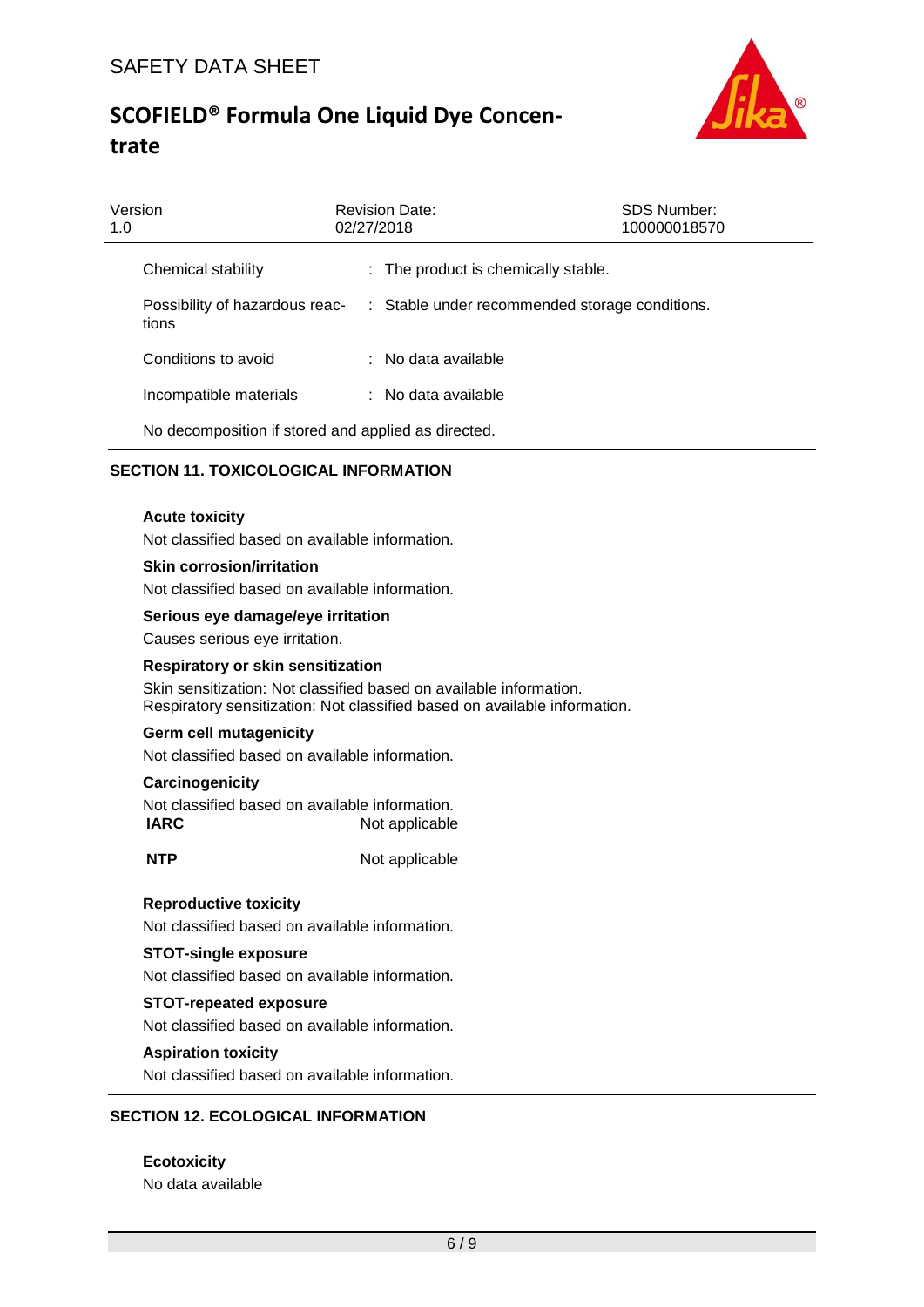

| Version<br>1.0 |                                                     | <b>Revision Date:</b><br>02/27/2018            | <b>SDS Number:</b><br>100000018570 |
|----------------|-----------------------------------------------------|------------------------------------------------|------------------------------------|
|                | Chemical stability                                  | : The product is chemically stable.            |                                    |
|                | Possibility of hazardous reac-<br>tions             | : Stable under recommended storage conditions. |                                    |
|                | Conditions to avoid                                 | $:$ No data available                          |                                    |
|                | Incompatible materials                              | : No data available                            |                                    |
|                | No decomposition if stored and applied as directed. |                                                |                                    |

## **SECTION 11. TOXICOLOGICAL INFORMATION**

#### **Acute toxicity**

Not classified based on available information.

#### **Skin corrosion/irritation**

Not classified based on available information.

#### **Serious eye damage/eye irritation**

Causes serious eye irritation.

#### **Respiratory or skin sensitization**

Skin sensitization: Not classified based on available information. Respiratory sensitization: Not classified based on available information.

#### **Germ cell mutagenicity**

Not classified based on available information.

#### **Carcinogenicity**

Not classified based on available information. **IARC** Not applicable

**NTP** Not applicable

#### **Reproductive toxicity**

Not classified based on available information.

### **STOT-single exposure**

Not classified based on available information.

### **STOT-repeated exposure**

Not classified based on available information.

#### **Aspiration toxicity**

Not classified based on available information.

## **SECTION 12. ECOLOGICAL INFORMATION**

**Ecotoxicity** No data available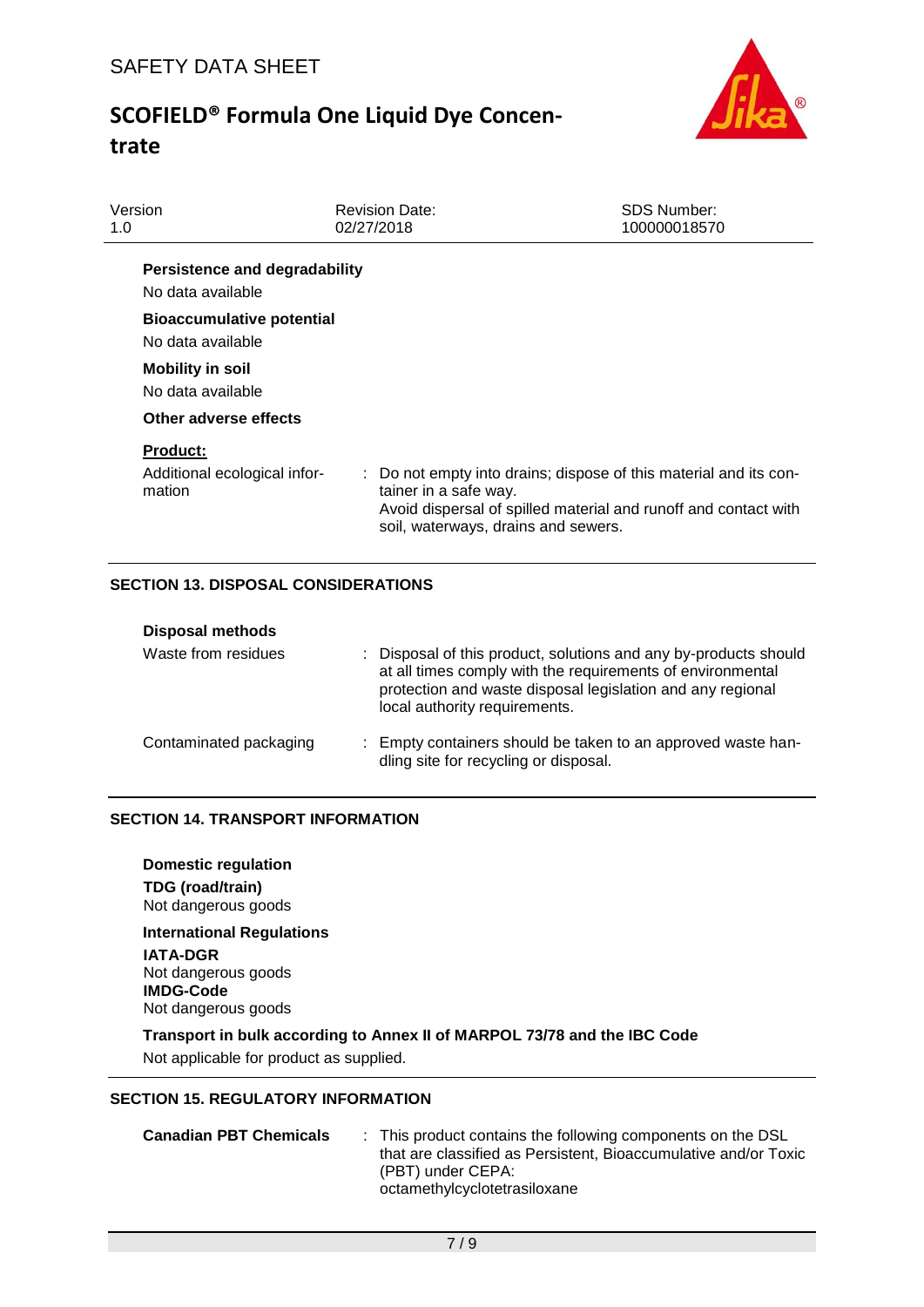

| Version<br>1.0                                            | <b>Revision Date:</b><br>02/27/2018                          | <b>SDS Number:</b><br>100000018570                                                                                                   |
|-----------------------------------------------------------|--------------------------------------------------------------|--------------------------------------------------------------------------------------------------------------------------------------|
| <b>Persistence and degradability</b><br>No data available |                                                              |                                                                                                                                      |
| <b>Bioaccumulative potential</b><br>No data available     |                                                              |                                                                                                                                      |
| <b>Mobility in soil</b><br>No data available              |                                                              |                                                                                                                                      |
| Other adverse effects                                     |                                                              |                                                                                                                                      |
| <b>Product:</b><br>Additional ecological infor-<br>mation | tainer in a safe way.<br>soil, waterways, drains and sewers. | : Do not empty into drains; dispose of this material and its con-<br>Avoid dispersal of spilled material and runoff and contact with |
|                                                           |                                                              |                                                                                                                                      |

## **SECTION 13. DISPOSAL CONSIDERATIONS**

| <b>Disposal methods</b> |                                                                                                                                                                                                                               |
|-------------------------|-------------------------------------------------------------------------------------------------------------------------------------------------------------------------------------------------------------------------------|
| Waste from residues     | : Disposal of this product, solutions and any by-products should<br>at all times comply with the requirements of environmental<br>protection and waste disposal legislation and any regional<br>local authority requirements. |
| Contaminated packaging  | : Empty containers should be taken to an approved waste han-<br>dling site for recycling or disposal.                                                                                                                         |

### **SECTION 14. TRANSPORT INFORMATION**

**Domestic regulation TDG (road/train)** Not dangerous goods

**International Regulations IATA-DGR** Not dangerous goods **IMDG-Code** Not dangerous goods

### **Transport in bulk according to Annex II of MARPOL 73/78 and the IBC Code**

Not applicable for product as supplied.

### **SECTION 15. REGULATORY INFORMATION**

**Canadian PBT Chemicals** : This product contains the following components on the DSL that are classified as Persistent, Bioaccumulative and/or Toxic (PBT) under CEPA: octamethylcyclotetrasiloxane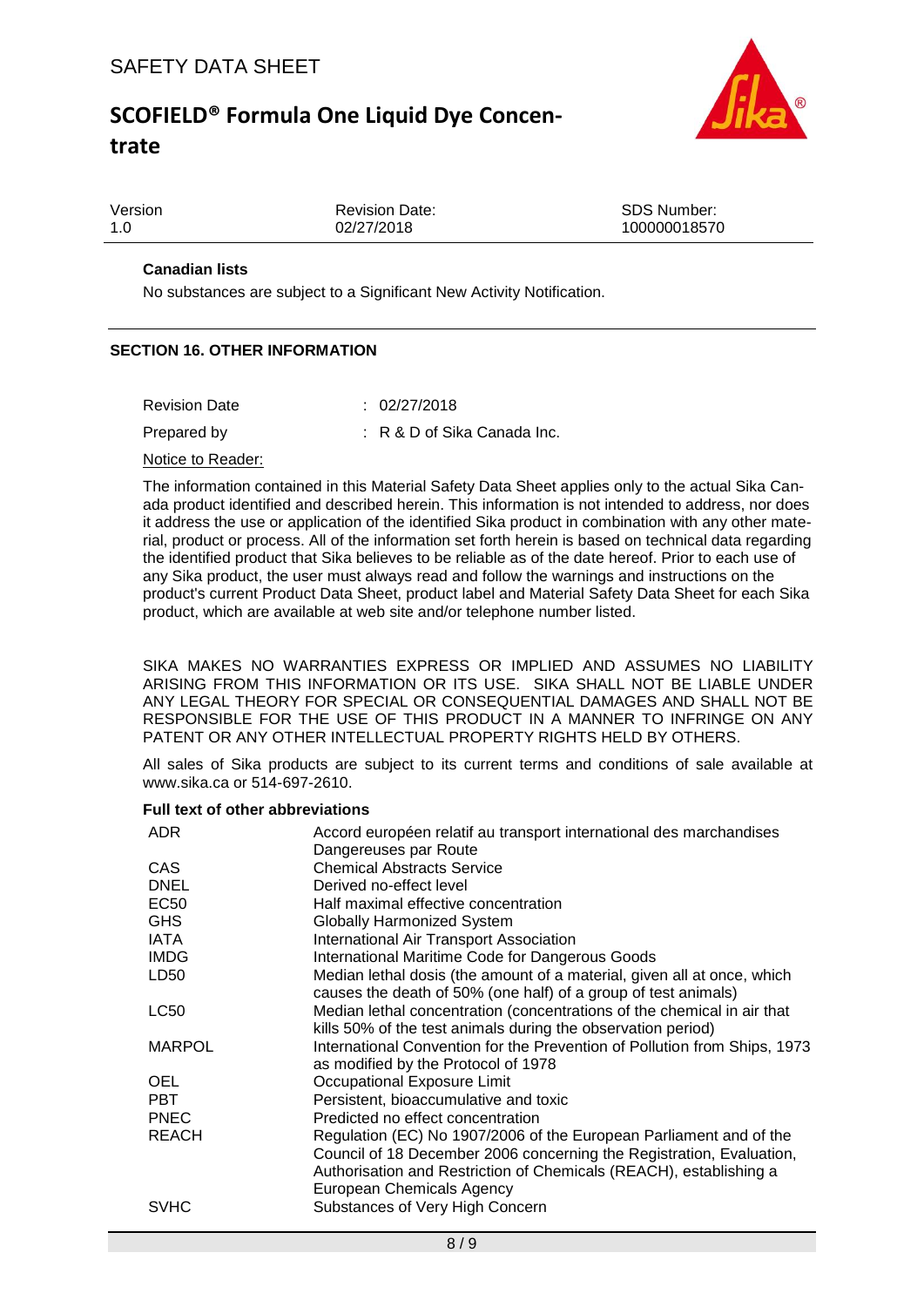

| Version | <b>Revision Date:</b> | SDS Number:  |
|---------|-----------------------|--------------|
| 1.0     | 02/27/2018            | 100000018570 |
|         |                       |              |

## **Canadian lists**

No substances are subject to a Significant New Activity Notification.

### **SECTION 16. OTHER INFORMATION**

| <b>Revision Date</b> | : 02/27/2018                           |
|----------------------|----------------------------------------|
| Prepared by          | $\therefore$ R & D of Sika Canada Inc. |

#### Notice to Reader:

The information contained in this Material Safety Data Sheet applies only to the actual Sika Canada product identified and described herein. This information is not intended to address, nor does it address the use or application of the identified Sika product in combination with any other material, product or process. All of the information set forth herein is based on technical data regarding the identified product that Sika believes to be reliable as of the date hereof. Prior to each use of any Sika product, the user must always read and follow the warnings and instructions on the product's current Product Data Sheet, product label and Material Safety Data Sheet for each Sika product, which are available at web site and/or telephone number listed.

SIKA MAKES NO WARRANTIES EXPRESS OR IMPLIED AND ASSUMES NO LIABILITY ARISING FROM THIS INFORMATION OR ITS USE. SIKA SHALL NOT BE LIABLE UNDER ANY LEGAL THEORY FOR SPECIAL OR CONSEQUENTIAL DAMAGES AND SHALL NOT BE RESPONSIBLE FOR THE USE OF THIS PRODUCT IN A MANNER TO INFRINGE ON ANY PATENT OR ANY OTHER INTELLECTUAL PROPERTY RIGHTS HELD BY OTHERS.

All sales of Sika products are subject to its current terms and conditions of sale available at www.sika.ca or 514-697-2610.

#### **Full text of other abbreviations**

| ADR.          | Accord européen relatif au transport international des marchandises       |
|---------------|---------------------------------------------------------------------------|
|               | Dangereuses par Route                                                     |
| <b>CAS</b>    | <b>Chemical Abstracts Service</b>                                         |
| <b>DNEL</b>   | Derived no-effect level                                                   |
| EC50          | Half maximal effective concentration                                      |
| <b>GHS</b>    | <b>Globally Harmonized System</b>                                         |
| IATA          | International Air Transport Association                                   |
| <b>IMDG</b>   | International Maritime Code for Dangerous Goods                           |
| LD50          | Median lethal dosis (the amount of a material, given all at once, which   |
|               | causes the death of 50% (one half) of a group of test animals)            |
| LC50          | Median lethal concentration (concentrations of the chemical in air that   |
|               | kills 50% of the test animals during the observation period)              |
| <b>MARPOL</b> | International Convention for the Prevention of Pollution from Ships, 1973 |
|               | as modified by the Protocol of 1978                                       |
| <b>OEL</b>    | Occupational Exposure Limit                                               |
| <b>PBT</b>    | Persistent, bioaccumulative and toxic                                     |
| <b>PNEC</b>   | Predicted no effect concentration                                         |
| <b>REACH</b>  | Regulation (EC) No 1907/2006 of the European Parliament and of the        |
|               | Council of 18 December 2006 concerning the Registration, Evaluation,      |
|               | Authorisation and Restriction of Chemicals (REACH), establishing a        |
|               | European Chemicals Agency                                                 |
| <b>SVHC</b>   | Substances of Very High Concern                                           |
|               |                                                                           |